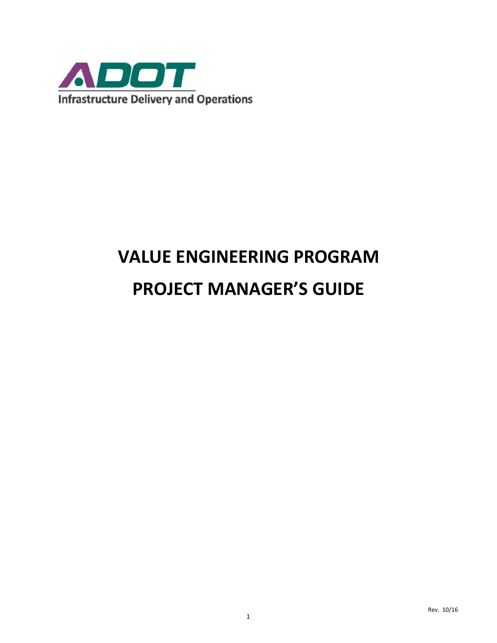

# **VALUE ENGINEERING PROGRAM PROJECT MANAGER'S GUIDE**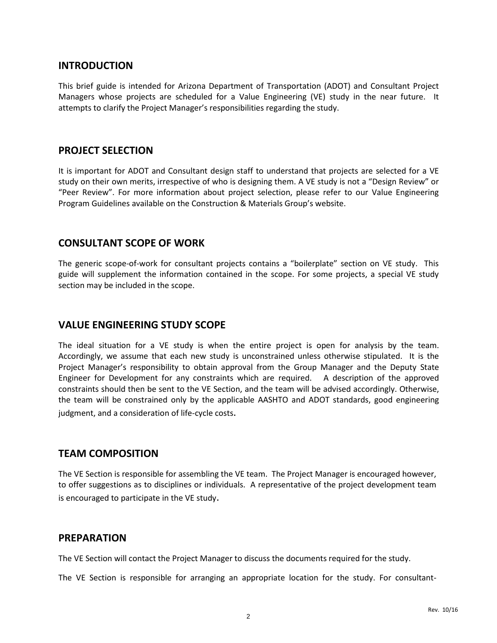#### **INTRODUCTION**

This brief guide is intended for Arizona Department of Transportation (ADOT) and Consultant Project Managers whose projects are scheduled for a Value Engineering (VE) study in the near future. It attempts to clarify the Project Manager's responsibilities regarding the study.

#### **PROJECT SELECTION**

It is important for ADOT and Consultant design staff to understand that projects are selected for a VE study on their own merits, irrespective of who is designing them. A VE study is not a "Design Review" or "Peer Review". For more information about project selection, please refer to our Value Engineering Program Guidelines available on the Construction & Materials Group's website.

#### **CONSULTANT SCOPE OF WORK**

The generic scope-of-work for consultant projects contains a "boilerplate" section on VE study. This guide will supplement the information contained in the scope. For some projects, a special VE study section may be included in the scope.

## **VALUE ENGINEERING STUDY SCOPE**

The ideal situation for a VE study is when the entire project is open for analysis by the team. Accordingly, we assume that each new study is unconstrained unless otherwise stipulated. It is the Project Manager's responsibility to obtain approval from the Group Manager and the Deputy State Engineer for Development for any constraints which are required. A description of the approved constraints should then be sent to the VE Section, and the team will be advised accordingly. Otherwise, the team will be constrained only by the applicable AASHTO and ADOT standards, good engineering judgment, and a consideration of life-cycle costs.

### **TEAM COMPOSITION**

The VE Section is responsible for assembling the VE team. The Project Manager is encouraged however, to offer suggestions as to disciplines or individuals. A representative of the project development team is encouraged to participate in the VE study.

### **PREPARATION**

The VE Section will contact the Project Manager to discuss the documents required for the study.

The VE Section is responsible for arranging an appropriate location for the study. For consultant-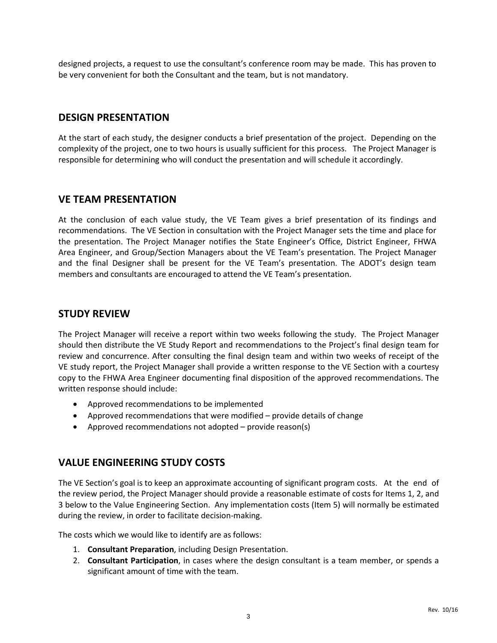designed projects, a request to use the consultant's conference room may be made. This has proven to be very convenient for both the Consultant and the team, but is not mandatory.

## **DESIGN PRESENTATION**

At the start of each study, the designer conducts a brief presentation of the project. Depending on the complexity of the project, one to two hours is usually sufficient for this process. The Project Manager is responsible for determining who will conduct the presentation and will schedule it accordingly.

### **VE TEAM PRESENTATION**

At the conclusion of each value study, the VE Team gives a brief presentation of its findings and recommendations. The VE Section in consultation with the Project Manager sets the time and place for the presentation. The Project Manager notifies the State Engineer's Office, District Engineer, FHWA Area Engineer, and Group/Section Managers about the VE Team's presentation. The Project Manager and the final Designer shall be present for the VE Team's presentation. The ADOT's design team members and consultants are encouraged to attend the VE Team's presentation.

# **STUDY REVIEW**

The Project Manager will receive a report within two weeks following the study. The Project Manager should then distribute the VE Study Report and recommendations to the Project's final design team for review and concurrence. After consulting the final design team and within two weeks of receipt of the VE study report, the Project Manager shall provide a written response to the VE Section with a courtesy copy to the FHWA Area Engineer documenting final disposition of the approved recommendations. The written response should include:

- Approved recommendations to be implemented
- Approved recommendations that were modified provide details of change
- Approved recommendations not adopted provide reason(s)

# **VALUE ENGINEERING STUDY COSTS**

The VE Section's goal is to keep an approximate accounting of significant program costs. At the end of the review period, the Project Manager should provide a reasonable estimate of costs for Items 1, 2, and 3 below to the Value Engineering Section. Any implementation costs (Item 5) will normally be estimated during the review, in order to facilitate decision-making.

The costs which we would like to identify are as follows:

- 1. **Consultant Preparation**, including Design Presentation.
- 2. **Consultant Participation**, in cases where the design consultant is a team member, or spends a significant amount of time with the team.